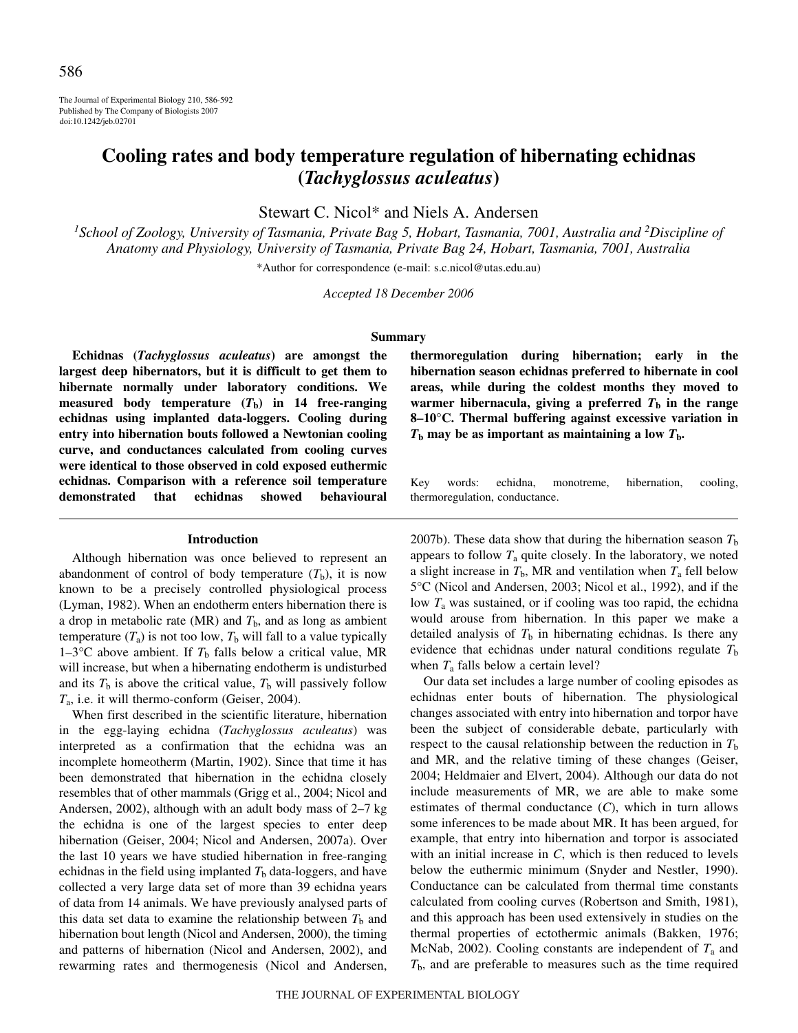The Journal of Experimental Biology 210, 586-592 Published by The Company of Biologists 2007 doi:10.1242/jeb.02701

# **Cooling rates and body temperature regulation of hibernating echidnas (***Tachyglossus aculeatus***)**

Stewart C. Nicol\* and Niels A. Andersen

<sup>1</sup>School of Zoology, University of Tasmania, Private Bag 5, Hobart, Tasmania, 7001, Australia and <sup>2</sup>Discipline of *Anatomy and Physiology, University of Tasmania, Private Bag 24, Hobart, Tasmania, 7001, Australia*

\*Author for correspondence (e-mail: s.c.nicol@utas.edu.au)

*Accepted 18 December 2006*

## **Summary**

**Echidnas (***Tachyglossus aculeatus***) are amongst the largest deep hibernators, but it is difficult to get them to hibernate normally under laboratory conditions. We** measured body temperature  $(T_b)$  in 14 free-ranging **echidnas using implanted data-loggers. Cooling during entry into hibernation bouts followed a Newtonian cooling curve, and conductances calculated from cooling curves were identical to those observed in cold exposed euthermic echidnas. Comparison with a reference soil temperature demonstrated that echidnas showed behavioural**

#### **Introduction**

Although hibernation was once believed to represent an abandonment of control of body temperature  $(T_b)$ , it is now known to be a precisely controlled physiological process (Lyman, 1982). When an endotherm enters hibernation there is a drop in metabolic rate (MR) and  $T<sub>b</sub>$ , and as long as ambient temperature  $(T_a)$  is not too low,  $T_b$  will fall to a value typically 1–3°C above ambient. If  $T<sub>b</sub>$  falls below a critical value, MR will increase, but when a hibernating endotherm is undisturbed and its  $T_b$  is above the critical value,  $T_b$  will passively follow *T*a, i.e. it will thermo-conform (Geiser, 2004).

When first described in the scientific literature, hibernation in the egg-laying echidna (*Tachyglossus aculeatus*) was interpreted as a confirmation that the echidna was an incomplete homeotherm (Martin, 1902). Since that time it has been demonstrated that hibernation in the echidna closely resembles that of other mammals (Grigg et al., 2004; Nicol and Andersen, 2002), although with an adult body mass of  $2-7$  kg the echidna is one of the largest species to enter deep hibernation (Geiser, 2004; Nicol and Andersen, 2007a). Over the last 10 years we have studied hibernation in free-ranging echidnas in the field using implanted  $T<sub>b</sub>$  data-loggers, and have collected a very large data set of more than 39 echidna years of data from 14 animals. We have previously analysed parts of this data set data to examine the relationship between  $T<sub>b</sub>$  and hibernation bout length (Nicol and Andersen, 2000), the timing and patterns of hibernation (Nicol and Andersen, 2002), and rewarming rates and thermogenesis (Nicol and Andersen,

**thermoregulation during hibernation; early in the hibernation season echidnas preferred to hibernate in cool areas, while during the coldest months they moved to warmer hibernacula, giving a preferred**  $T<sub>b</sub>$  **in the range 8–10°C. Thermal buffering against excessive variation in**  $T<sub>b</sub>$  may be as important as maintaining a low  $T<sub>b</sub>$ .

Key words: echidna, monotreme, hibernation, cooling, thermoregulation, conductance.

2007b). These data show that during the hibernation season  $T<sub>b</sub>$ appears to follow  $T_a$  quite closely. In the laboratory, we noted a slight increase in  $T<sub>b</sub>$ , MR and ventilation when  $T<sub>a</sub>$  fell below 5°C (Nicol and Andersen, 2003; Nicol et al., 1992), and if the low *T*<sup>a</sup> was sustained, or if cooling was too rapid, the echidna would arouse from hibernation. In this paper we make a detailed analysis of  $T<sub>b</sub>$  in hibernating echidnas. Is there any evidence that echidnas under natural conditions regulate *T*<sup>b</sup> when  $T_a$  falls below a certain level?

Our data set includes a large number of cooling episodes as echidnas enter bouts of hibernation. The physiological changes associated with entry into hibernation and torpor have been the subject of considerable debate, particularly with respect to the causal relationship between the reduction in  $T<sub>b</sub>$ and MR, and the relative timing of these changes (Geiser, 2004; Heldmaier and Elvert, 2004). Although our data do not include measurements of MR, we are able to make some estimates of thermal conductance (*C*), which in turn allows some inferences to be made about MR. It has been argued, for example, that entry into hibernation and torpor is associated with an initial increase in *C*, which is then reduced to levels below the euthermic minimum (Snyder and Nestler, 1990). Conductance can be calculated from thermal time constants calculated from cooling curves (Robertson and Smith, 1981), and this approach has been used extensively in studies on the thermal properties of ectothermic animals (Bakken, 1976; McNab, 2002). Cooling constants are independent of  $T_a$  and *T*b, and are preferable to measures such as the time required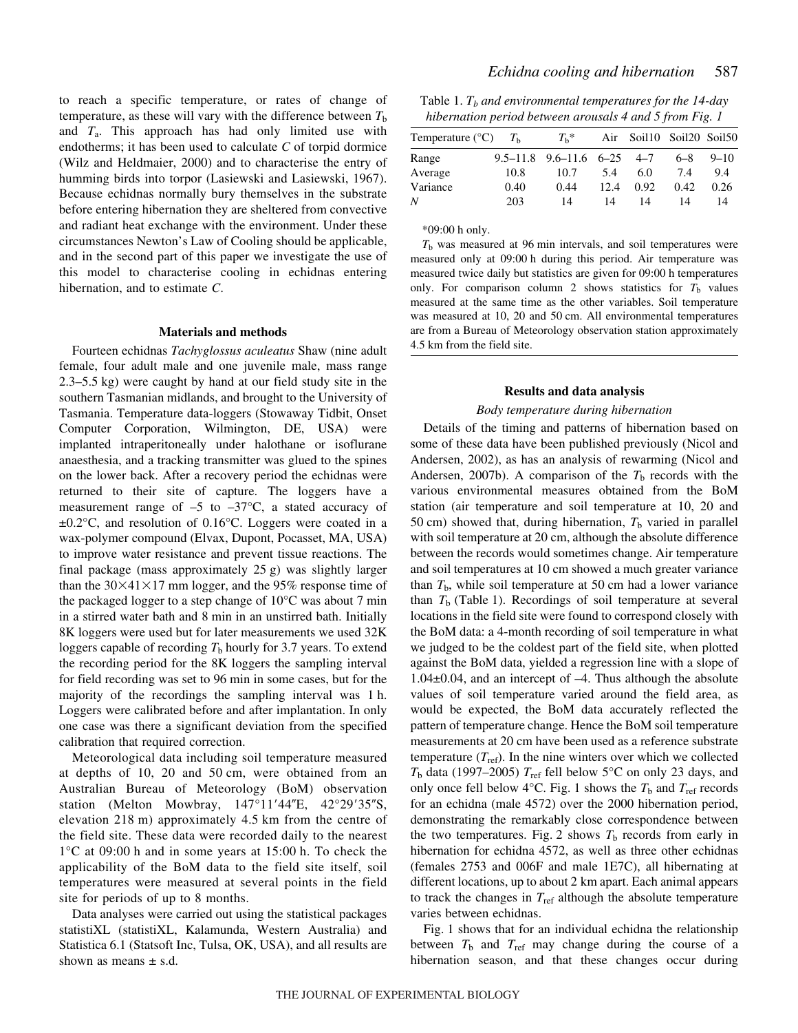to reach a specific temperature, or rates of change of temperature, as these will vary with the difference between  $T<sub>b</sub>$ and *T*a. This approach has had only limited use with endotherms; it has been used to calculate *C* of torpid dormice (Wilz and Heldmaier, 2000) and to characterise the entry of humming birds into torpor (Lasiewski and Lasiewski, 1967). Because echidnas normally bury themselves in the substrate before entering hibernation they are sheltered from convective and radiant heat exchange with the environment. Under these circumstances Newton's Law of Cooling should be applicable, and in the second part of this paper we investigate the use of this model to characterise cooling in echidnas entering hibernation, and to estimate *C*.

#### **Materials and methods**

Fourteen echidnas *Tachyglossus aculeatus* Shaw (nine adult female, four adult male and one juvenile male, mass range 2.3–5.5 kg) were caught by hand at our field study site in the southern Tasmanian midlands, and brought to the University of Tasmania. Temperature data-loggers (Stowaway Tidbit, Onset Computer Corporation, Wilmington, DE, USA) were implanted intraperitoneally under halothane or isoflurane anaesthesia, and a tracking transmitter was glued to the spines on the lower back. After a recovery period the echidnas were returned to their site of capture. The loggers have a measurement range of  $-5$  to  $-37^{\circ}$ C, a stated accuracy of ±0.2°C, and resolution of 0.16°C. Loggers were coated in a wax-polymer compound (Elvax, Dupont, Pocasset, MA, USA) to improve water resistance and prevent tissue reactions. The final package (mass approximately  $25 g$ ) was slightly larger than the  $30\times41\times17$  mm logger, and the 95% response time of the packaged logger to a step change of  $10^{\circ}$ C was about 7 min in a stirred water bath and 8 min in an unstirred bath. Initially 8K loggers were used but for later measurements we used 32K loggers capable of recording  $T<sub>b</sub>$  hourly for 3.7 years. To extend the recording period for the 8K loggers the sampling interval for field recording was set to 96 min in some cases, but for the majority of the recordings the sampling interval was 1 h. Loggers were calibrated before and after implantation. In only one case was there a significant deviation from the specified calibration that required correction.

Meteorological data including soil temperature measured at depths of 10, 20 and 50 cm, were obtained from an Australian Bureau of Meteorology (BoM) observation station (Melton Mowbray,  $147^{\circ}11'44''E$ ,  $42^{\circ}29'35''S$ , elevation 218 m) approximately 4.5 km from the centre of the field site. These data were recorded daily to the nearest  $1^{\circ}$ C at 09:00 h and in some years at 15:00 h. To check the applicability of the BoM data to the field site itself, soil temperatures were measured at several points in the field site for periods of up to 8 months.

Data analyses were carried out using the statistical packages statistiXL (statistiXL, Kalamunda, Western Australia) and Statistica 6.1 (Statsoft Inc, Tulsa, OK, USA), and all results are shown as means  $\pm$  s.d.

Table 1.  $T_b$  *and environmental temperatures for the 14-day hibernation period between arousals 4 and 5 from Fig.·1*

| Temperature ( ${}^{\circ}$ C) $T_h$ |      | $T_{\rm h}$ *                      |      | Air Soil10 Soil20 Soil50 |         |          |
|-------------------------------------|------|------------------------------------|------|--------------------------|---------|----------|
| Range                               |      | $9.5-11.8$ $9.6-11.6$ $6-25$ $4-7$ |      |                          | $6 - 8$ | $9 - 10$ |
| Average                             | 10.8 | 10.7                               | 5.4  | 6.0                      | 7.4     | 9.4      |
| Variance                            | 0.40 | 0.44                               | 12.4 | 0.92                     | 0.42    | 0.26     |
| N                                   | 203  | 14                                 | 14   | 14                       | 14      | 14       |

\*09:00·h only.

 $T<sub>b</sub>$  was measured at 96 min intervals, and soil temperatures were measured only at 09:00 h during this period. Air temperature was measured twice daily but statistics are given for 09:00 h temperatures only. For comparison column 2 shows statistics for  $T<sub>b</sub>$  values measured at the same time as the other variables. Soil temperature was measured at 10, 20 and 50 cm. All environmental temperatures are from a Bureau of Meteorology observation station approximately 4.5 km from the field site.

### **Results and data analysis**

## *Body temperature during hibernation*

Details of the timing and patterns of hibernation based on some of these data have been published previously (Nicol and Andersen, 2002), as has an analysis of rewarming (Nicol and Andersen, 2007b). A comparison of the  $T<sub>b</sub>$  records with the various environmental measures obtained from the BoM station (air temperature and soil temperature at 10, 20 and 50 cm) showed that, during hibernation,  $T<sub>b</sub>$  varied in parallel with soil temperature at 20 cm, although the absolute difference between the records would sometimes change. Air temperature and soil temperatures at 10 cm showed a much greater variance than  $T<sub>b</sub>$ , while soil temperature at 50 cm had a lower variance than  $T<sub>b</sub>$  (Table 1). Recordings of soil temperature at several locations in the field site were found to correspond closely with the BoM data: a 4-month recording of soil temperature in what we judged to be the coldest part of the field site, when plotted against the BoM data, yielded a regression line with a slope of 1.04±0.04, and an intercept of –4. Thus although the absolute values of soil temperature varied around the field area, as would be expected, the BoM data accurately reflected the pattern of temperature change. Hence the BoM soil temperature measurements at 20 cm have been used as a reference substrate temperature  $(T_{ref})$ . In the nine winters over which we collected  $T<sub>b</sub>$  data (1997–2005)  $T<sub>ref</sub>$  fell below 5°C on only 23 days, and only once fell below  $4^{\circ}$ C. Fig. 1 shows the  $T_b$  and  $T_{ref}$  records for an echidna (male 4572) over the 2000 hibernation period, demonstrating the remarkably close correspondence between the two temperatures. Fig. 2 shows  $T<sub>b</sub>$  records from early in hibernation for echidna 4572, as well as three other echidnas (females 2753 and 006F and male 1E7C), all hibernating at different locations, up to about 2 km apart. Each animal appears to track the changes in  $T_{ref}$  although the absolute temperature varies between echidnas.

Fig. 1 shows that for an individual echidna the relationship between  $T_b$  and  $T_{ref}$  may change during the course of a hibernation season, and that these changes occur during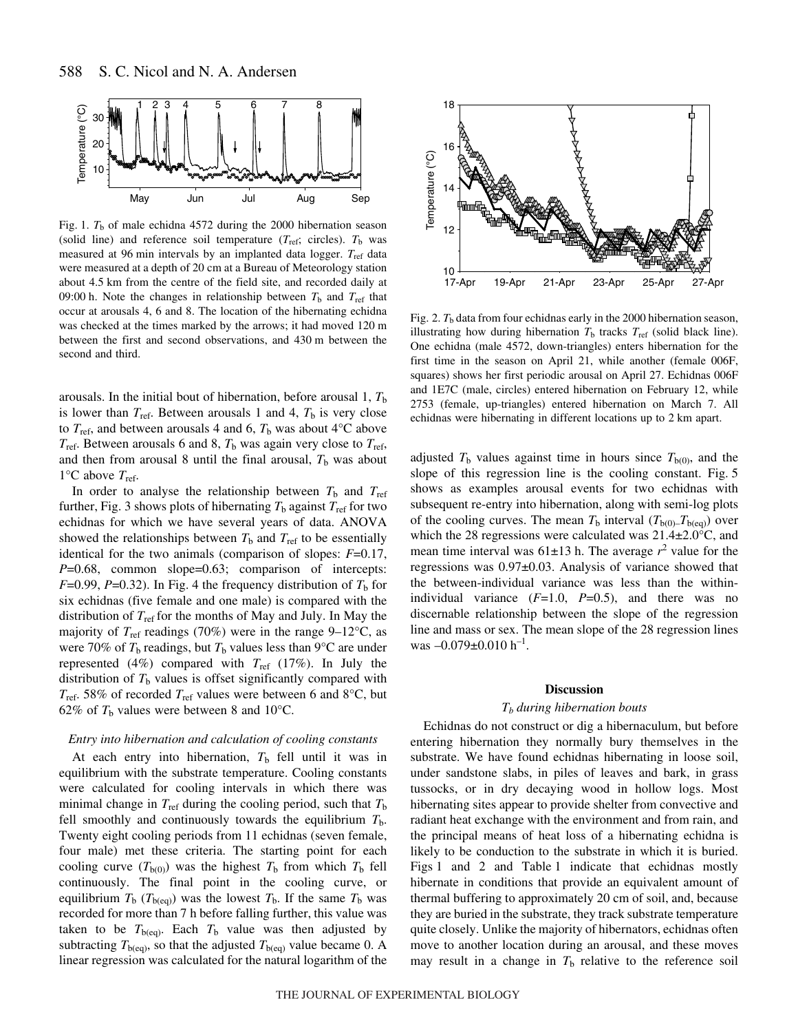

Fig. 1.  $T_b$  of male echidna 4572 during the 2000 hibernation season (solid line) and reference soil temperature  $(T_{ref}$ ; circles).  $T_b$  was measured at 96 min intervals by an implanted data logger. T<sub>ref</sub> data were measured at a depth of 20 cm at a Bureau of Meteorology station about 4.5 km from the centre of the field site, and recorded daily at 09:00 h. Note the changes in relationship between  $T<sub>b</sub>$  and  $T<sub>ref</sub>$  that occur at arousals 4, 6 and 8. The location of the hibernating echidna was checked at the times marked by the arrows; it had moved 120 m between the first and second observations, and 430 m between the second and third.

arousals. In the initial bout of hibernation, before arousal 1,  $T<sub>b</sub>$ is lower than  $T_{\text{ref}}$ . Between arousals 1 and 4,  $T_{\text{b}}$  is very close to  $T_{\text{ref}}$ , and between arousals 4 and 6,  $T_{\text{b}}$  was about 4<sup>o</sup>C above  $T_{\text{ref}}$ . Between arousals 6 and 8,  $T_{\text{b}}$  was again very close to  $T_{\text{ref}}$ , and then from arousal 8 until the final arousal,  $T<sub>b</sub>$  was about  $1^{\circ}$ C above  $T_{ref}$ .

In order to analyse the relationship between  $T<sub>b</sub>$  and  $T<sub>ref</sub>$ further, Fig. 3 shows plots of hibernating  $T_b$  against  $T_{\text{ref}}$  for two echidnas for which we have several years of data. ANOVA showed the relationships between  $T<sub>b</sub>$  and  $T<sub>ref</sub>$  to be essentially identical for the two animals (comparison of slopes: *F*=0.17, *P*=0.68, common slope=0.63; comparison of intercepts: *F*=0.99, *P*=0.32). In Fig. 4 the frequency distribution of  $T<sub>b</sub>$  for six echidnas (five female and one male) is compared with the distribution of *T*ref for the months of May and July. In May the majority of  $T_{ref}$  readings (70%) were in the range 9–12°C, as were 70% of  $T_b$  readings, but  $T_b$  values less than 9°C are under represented (4%) compared with  $T_{ref}$  (17%). In July the distribution of  $T<sub>b</sub>$  values is offset significantly compared with *T*ref. 58% of recorded *T*ref values were between 6 and 8°C, but 62% of  $T<sub>b</sub>$  values were between 8 and 10<sup>o</sup>C.

## *Entry into hibernation and calculation of cooling constants*

At each entry into hibernation,  $T<sub>b</sub>$  fell until it was in equilibrium with the substrate temperature. Cooling constants were calculated for cooling intervals in which there was minimal change in  $T_{ref}$  during the cooling period, such that  $T_{b}$ fell smoothly and continuously towards the equilibrium  $T<sub>b</sub>$ . Twenty eight cooling periods from 11 echidnas (seven female, four male) met these criteria. The starting point for each cooling curve  $(T_{b(0)})$  was the highest  $T_b$  from which  $T_b$  fell continuously. The final point in the cooling curve, or equilibrium  $T<sub>b</sub>$  ( $T<sub>b</sub>(ea)$ ) was the lowest  $T<sub>b</sub>$ . If the same  $T<sub>b</sub>$  was recorded for more than 7 h before falling further, this value was taken to be  $T_{b(eq)}$ . Each  $T_b$  value was then adjusted by subtracting  $T_{b(eq)}$ , so that the adjusted  $T_{b(eq)}$  value became 0. A linear regression was calculated for the natural logarithm of the



Fig. 2.  $T<sub>b</sub>$  data from four echidnas early in the 2000 hibernation season, illustrating how during hibernation  $T<sub>b</sub>$  tracks  $T<sub>ref</sub>$  (solid black line). One echidna (male 4572, down-triangles) enters hibernation for the first time in the season on April 21, while another (female 006F, squares) shows her first periodic arousal on April 27. Echidnas 006F and 1E7C (male, circles) entered hibernation on February 12, while 2753 (female, up-triangles) entered hibernation on March 7. All echidnas were hibernating in different locations up to 2 km apart.

adjusted  $T<sub>b</sub>$  values against time in hours since  $T<sub>b(0)</sub>$ , and the slope of this regression line is the cooling constant. Fig. 5 shows as examples arousal events for two echidnas with subsequent re-entry into hibernation, along with semi-log plots of the cooling curves. The mean  $T_b$  interval  $(T_{b(0)}-T_{b(eq)})$  over which the 28 regressions were calculated was 21.4±2.0°C, and mean time interval was  $61\pm13$  h. The average  $r^2$  value for the regressions was 0.97±0.03. Analysis of variance showed that the between-individual variance was less than the withinindividual variance  $(F=1.0, P=0.5)$ , and there was no discernable relationship between the slope of the regression line and mass or sex. The mean slope of the 28 regression lines was  $-0.079\pm0.010$  h<sup>-1</sup>.

#### **Discussion**

## *Tb during hibernation bouts*

Echidnas do not construct or dig a hibernaculum, but before entering hibernation they normally bury themselves in the substrate. We have found echidnas hibernating in loose soil, under sandstone slabs, in piles of leaves and bark, in grass tussocks, or in dry decaying wood in hollow logs. Most hibernating sites appear to provide shelter from convective and radiant heat exchange with the environment and from rain, and the principal means of heat loss of a hibernating echidna is likely to be conduction to the substrate in which it is buried. Figs 1 and 2 and Table 1 indicate that echidnas mostly hibernate in conditions that provide an equivalent amount of thermal buffering to approximately 20 cm of soil, and, because they are buried in the substrate, they track substrate temperature quite closely. Unlike the majority of hibernators, echidnas often move to another location during an arousal, and these moves may result in a change in  $T<sub>b</sub>$  relative to the reference soil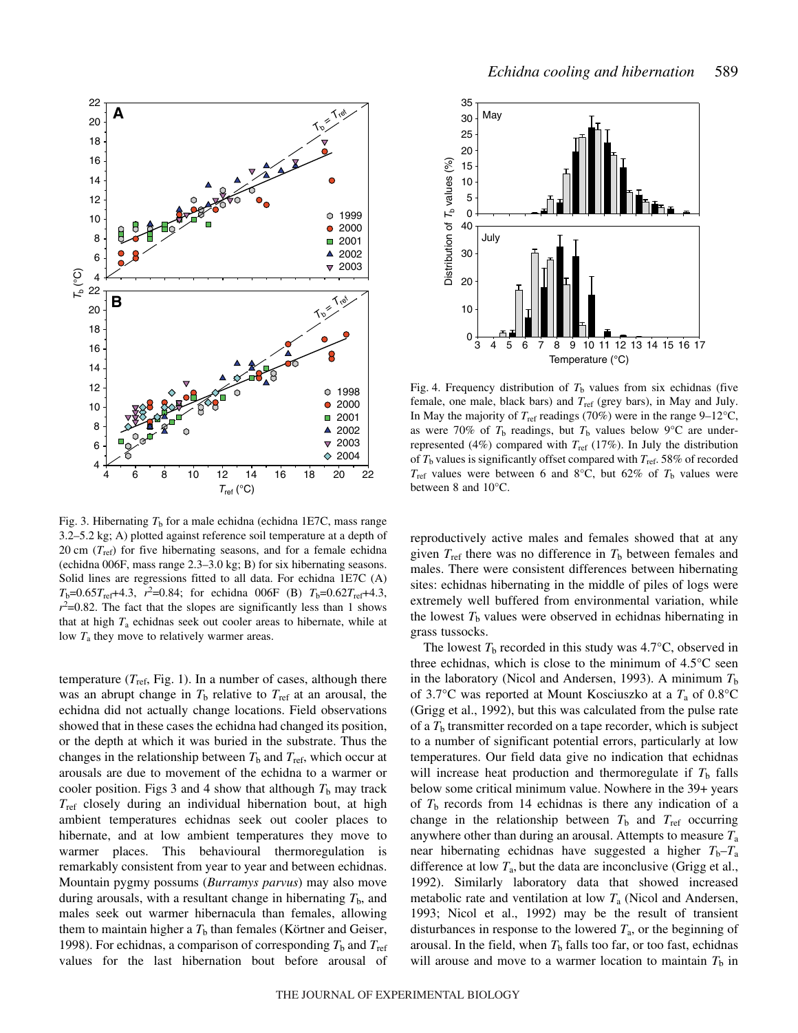

Fig. 3. Hibernating  $T<sub>b</sub>$  for a male echidna (echidna 1E7C, mass range 3.2–5.2 kg; A) plotted against reference soil temperature at a depth of 20 cm  $(T_{ref})$  for five hibernating seasons, and for a female echidna (echidna 006F, mass range 2.3–3.0 kg; B) for six hibernating seasons. Solid lines are regressions fitted to all data. For echidna 1E7C (A)  $T_b$ =0.65 $T_{ref}$ +4.3,  $r^2$ =0.84; for echidna 006F (B)  $T_b$ =0.62 $T_{ref}$ +4.3,  $r^2$ =0.82. The fact that the slopes are significantly less than 1 shows that at high *T*<sup>a</sup> echidnas seek out cooler areas to hibernate, while at low *T*<sup>a</sup> they move to relatively warmer areas.

temperature  $(T_{\text{ref}}, \text{Fig. 1}).$  In a number of cases, although there was an abrupt change in  $T<sub>b</sub>$  relative to  $T<sub>ref</sub>$  at an arousal, the echidna did not actually change locations. Field observations showed that in these cases the echidna had changed its position, or the depth at which it was buried in the substrate. Thus the changes in the relationship between  $T<sub>b</sub>$  and  $T<sub>ref</sub>$ , which occur at arousals are due to movement of the echidna to a warmer or cooler position. Figs 3 and 4 show that although  $T<sub>b</sub>$  may track  $T_{ref}$  closely during an individual hibernation bout, at high ambient temperatures echidnas seek out cooler places to hibernate, and at low ambient temperatures they move to warmer places. This behavioural thermoregulation is remarkably consistent from year to year and between echidnas. Mountain pygmy possums (*Burramys parvus*) may also move during arousals, with a resultant change in hibernating  $T<sub>b</sub>$ , and males seek out warmer hibernacula than females, allowing them to maintain higher a  $T<sub>b</sub>$  than females (Körtner and Geiser, 1998). For echidnas, a comparison of corresponding  $T<sub>b</sub>$  and  $T<sub>ref</sub>$ values for the last hibernation bout before arousal of



Fig. 4. Frequency distribution of  $T_b$  values from six echidnas (five female, one male, black bars) and *T*ref (grey bars), in May and July. In May the majority of  $T_{\text{ref}}$  readings (70%) were in the range 9–12°C, as were 70% of  $T<sub>b</sub>$  readings, but  $T<sub>b</sub>$  values below 9°C are underrepresented (4%) compared with  $T_{ref}$  (17%). In July the distribution of *T*<sup>b</sup> values is significantly offset compared with *T*ref. 58% of recorded  $T_{ref}$  values were between 6 and 8°C, but 62% of  $T_b$  values were between 8 and 10°C.

reproductively active males and females showed that at any given  $T_{\text{ref}}$  there was no difference in  $T_{\text{b}}$  between females and males. There were consistent differences between hibernating sites: echidnas hibernating in the middle of piles of logs were extremely well buffered from environmental variation, while the lowest  $T<sub>b</sub>$  values were observed in echidnas hibernating in grass tussocks.

The lowest  $T<sub>b</sub>$  recorded in this study was  $4.7^{\circ}$ C, observed in three echidnas, which is close to the minimum of  $4.5^{\circ}$ C seen in the laboratory (Nicol and Andersen, 1993). A minimum  $T<sub>b</sub>$ of 3.7°C was reported at Mount Kosciuszko at a *T*<sup>a</sup> of 0.8°C (Grigg et al., 1992), but this was calculated from the pulse rate of a  $T<sub>b</sub>$  transmitter recorded on a tape recorder, which is subject to a number of significant potential errors, particularly at low temperatures. Our field data give no indication that echidnas will increase heat production and thermoregulate if  $T<sub>b</sub>$  falls below some critical minimum value. Nowhere in the 39+ years of  $T<sub>b</sub>$  records from 14 echidnas is there any indication of a change in the relationship between  $T<sub>b</sub>$  and  $T<sub>ref</sub>$  occurring anywhere other than during an arousal. Attempts to measure *T*<sup>a</sup> near hibernating echidnas have suggested a higher  $T_b - T_a$ difference at low  $T_a$ , but the data are inconclusive (Grigg et al., 1992). Similarly laboratory data that showed increased metabolic rate and ventilation at low *T*<sup>a</sup> (Nicol and Andersen, 1993; Nicol et al., 1992) may be the result of transient disturbances in response to the lowered  $T_a$ , or the beginning of arousal. In the field, when  $T<sub>b</sub>$  falls too far, or too fast, echidnas will arouse and move to a warmer location to maintain  $T<sub>b</sub>$  in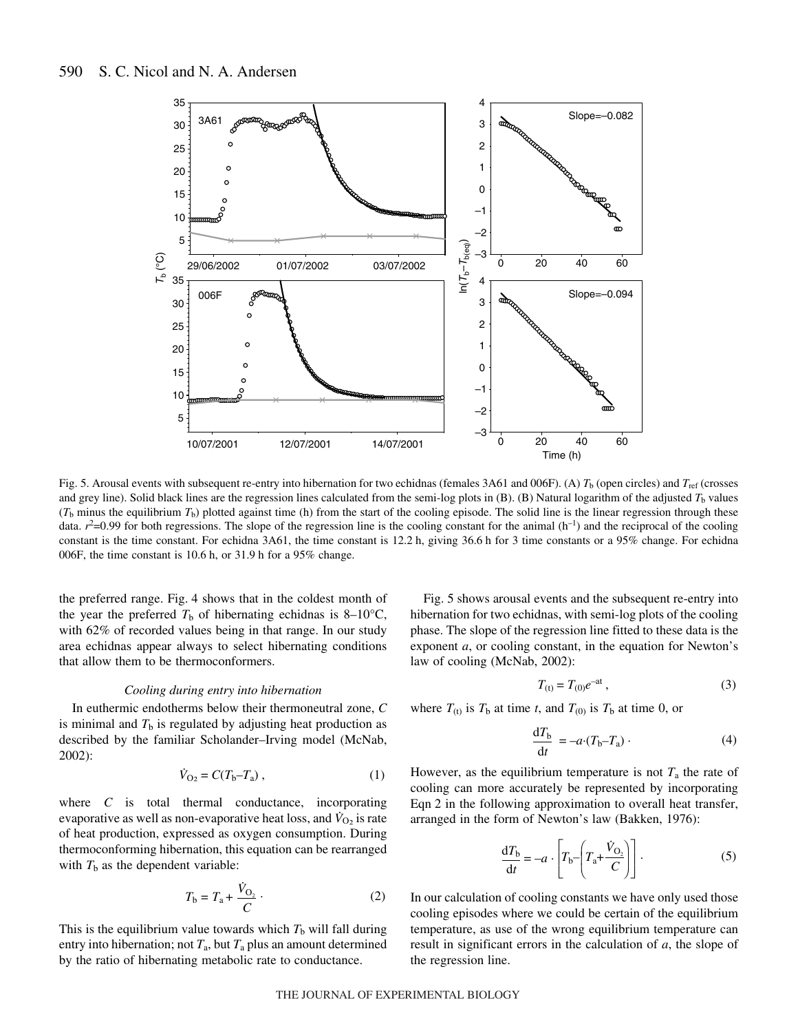

Fig. 5. Arousal events with subsequent re-entry into hibernation for two echidnas (females 3A61 and 006F). (A)  $T<sub>b</sub>$  (open circles) and  $T<sub>ref</sub>$  (crosses and grey line). Solid black lines are the regression lines calculated from the semi-log plots in  $(B)$ .  $(B)$  Natural logarithm of the adjusted  $T<sub>b</sub>$  values  $(T_b$  minus the equilibrium  $T_b$ ) plotted against time (h) from the start of the cooling episode. The solid line is the linear regression through these data.  $r^2$ =0.99 for both regressions. The slope of the regression line is the cooling constant for the animal (h<sup>-1</sup>) and the reciprocal of the cooling constant is the time constant. For echidna 3A61, the time constant is 12.2 h, giving 36.6 h for 3 time constants or a 95% change. For echidna 006F, the time constant is  $10.6h$ , or  $31.9h$  for a 95% change.

the preferred range. Fig. 4 shows that in the coldest month of the year the preferred  $T<sub>b</sub>$  of hibernating echidnas is 8–10<sup>o</sup>C, with 62% of recorded values being in that range. In our study area echidnas appear always to select hibernating conditions that allow them to be thermoconformers.

## *Cooling during entry into hibernation*

In euthermic endotherms below their thermoneutral zone, *C* is minimal and  $T<sub>b</sub>$  is regulated by adjusting heat production as described by the familiar Scholander–Irving model (McNab, 2002):

$$
\dot{V}_{O_2} = C(T_b - T_a) \,, \tag{1}
$$

where *C* is total thermal conductance, incorporating evaporative as well as non-evaporative heat loss, and  $V_{O_2}$  is rate of heat production, expressed as oxygen consumption. During thermoconforming hibernation, this equation can be rearranged with  $T<sub>b</sub>$  as the dependent variable:

$$
T_{\rm b} = T_{\rm a} + \frac{\dot{V}_{\rm O_2}}{C} \,. \tag{2}
$$

This is the equilibrium value towards which  $T<sub>b</sub>$  will fall during entry into hibernation; not  $T_a$ , but  $T_a$  plus an amount determined by the ratio of hibernating metabolic rate to conductance.

Fig. 5 shows arousal events and the subsequent re-entry into hibernation for two echidnas, with semi-log plots of the cooling phase. The slope of the regression line fitted to these data is the exponent *a*, or cooling constant, in the equation for Newton's law of cooling (McNab, 2002):

$$
T_{(t)} = T_{(0)}e^{-at} \t{,} \t(3)
$$

where  $T_{(t)}$  is  $T_b$  at time *t*, and  $T_{(0)}$  is  $T_b$  at time 0, or

$$
\frac{\mathrm{d}T_{\mathrm{b}}}{\mathrm{d}t} = -a \cdot (T_{\mathrm{b}} - T_{\mathrm{a}}) \tag{4}
$$

However, as the equilibrium temperature is not  $T_a$  the rate of cooling can more accurately be represented by incorporating Eqn 2 in the following approximation to overall heat transfer, arranged in the form of Newton's law (Bakken, 1976):

$$
\frac{dT_b}{dt} = -a \cdot \left[ T_b - \left( T_a + \frac{\dot{V}_{O_2}}{C} \right) \right].
$$
 (5)

In our calculation of cooling constants we have only used those cooling episodes where we could be certain of the equilibrium temperature, as use of the wrong equilibrium temperature can result in significant errors in the calculation of *a*, the slope of the regression line.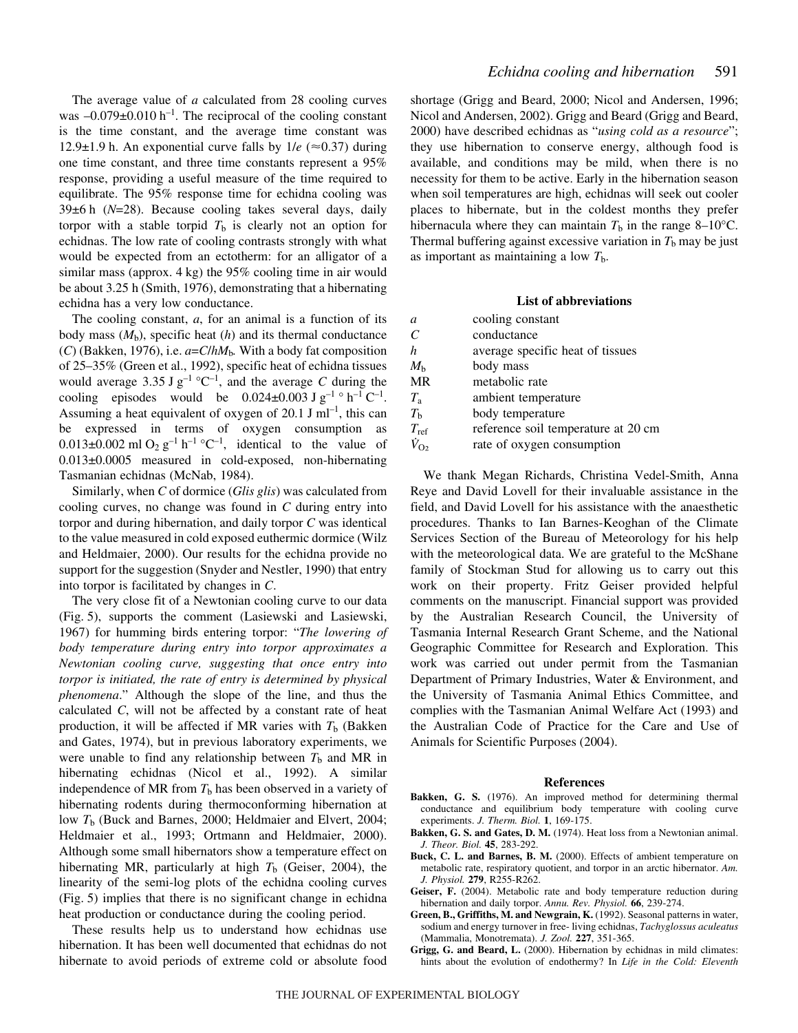The average value of *a* calculated from 28 cooling curves was  $-0.079\pm0.010$  h<sup>-1</sup>. The reciprocal of the cooling constant is the time constant, and the average time constant was 12.9 $\pm$ 1.9 h. An exponential curve falls by  $1/e$  ( $\approx$ 0.37) during one time constant, and three time constants represent a 95% response, providing a useful measure of the time required to equilibrate. The 95% response time for echidna cooling was 39±6 h (N=28). Because cooling takes several days, daily torpor with a stable torpid  $T<sub>b</sub>$  is clearly not an option for echidnas. The low rate of cooling contrasts strongly with what would be expected from an ectotherm: for an alligator of a similar mass (approx.  $4 kg$ ) the 95% cooling time in air would be about 3.25 h (Smith, 1976), demonstrating that a hibernating echidna has a very low conductance.

The cooling constant, *a*, for an animal is a function of its body mass  $(M_b)$ , specific heat  $(h)$  and its thermal conductance (*C*) (Bakken, 1976), i.e. *a*=*C*/*hM*b*.* With a body fat composition of 25–35% (Green et al., 1992), specific heat of echidna tissues would average 3.35 J  $g^{-1}$  °C<sup>-1</sup>, and the average *C* during the cooling episodes would be  $0.024 \pm 0.003$  J g<sup>-1</sup> ° h<sup>-1</sup> C<sup>-1</sup>. Assuming a heat equivalent of oxygen of 20.1 J ml<sup>-1</sup>, this can be expressed in terms of oxygen consumption as  $0.013\pm0.002$  ml O<sub>2</sub> g<sup>-1</sup> h<sup>-1</sup> °C<sup>-1</sup>, identical to the value of 0.013±0.0005 measured in cold-exposed, non-hibernating Tasmanian echidnas (McNab, 1984).

Similarly, when *C* of dormice (*Glis glis*) was calculated from cooling curves, no change was found in *C* during entry into torpor and during hibernation, and daily torpor *C* was identical to the value measured in cold exposed euthermic dormice (Wilz and Heldmaier, 2000). Our results for the echidna provide no support for the suggestion (Snyder and Nestler, 1990) that entry into torpor is facilitated by changes in *C*.

The very close fit of a Newtonian cooling curve to our data (Fig. 5), supports the comment (Lasiewski and Lasiewski, 1967) for humming birds entering torpor: "*The lowering of body temperature during entry into torpor approximates a Newtonian cooling curve, suggesting that once entry into torpor is initiated, the rate of entry is determined by physical phenomena*." Although the slope of the line, and thus the calculated *C*, will not be affected by a constant rate of heat production, it will be affected if MR varies with  $T_b$  (Bakken and Gates, 1974), but in previous laboratory experiments, we were unable to find any relationship between  $T<sub>b</sub>$  and MR in hibernating echidnas (Nicol et al., 1992). A similar independence of MR from  $T<sub>b</sub>$  has been observed in a variety of hibernating rodents during thermoconforming hibernation at low *T*<sup>b</sup> (Buck and Barnes, 2000; Heldmaier and Elvert, 2004; Heldmaier et al., 1993; Ortmann and Heldmaier, 2000). Although some small hibernators show a temperature effect on hibernating MR, particularly at high  $T<sub>b</sub>$  (Geiser, 2004), the linearity of the semi-log plots of the echidna cooling curves (Fig. 5) implies that there is no significant change in echidna heat production or conductance during the cooling period.

These results help us to understand how echidnas use hibernation. It has been well documented that echidnas do not hibernate to avoid periods of extreme cold or absolute food shortage (Grigg and Beard, 2000; Nicol and Andersen, 1996; Nicol and Andersen, 2002). Grigg and Beard (Grigg and Beard, 2000) have described echidnas as "*using cold as a resource*"; they use hibernation to conserve energy, although food is available, and conditions may be mild, when there is no necessity for them to be active. Early in the hibernation season when soil temperatures are high, echidnas will seek out cooler places to hibernate, but in the coldest months they prefer hibernacula where they can maintain  $T<sub>b</sub>$  in the range 8–10<sup>o</sup>C. Thermal buffering against excessive variation in  $T<sub>b</sub>$  may be just as important as maintaining a low  $T<sub>b</sub>$ .

## **List of abbreviations**

| a                           | cooling constant                    |
|-----------------------------|-------------------------------------|
| $\mathcal{C}_{\mathcal{C}}$ | conductance                         |
| h.                          | average specific heat of tissues    |
| $M_{h}$                     | body mass                           |
| <b>MR</b>                   | metabolic rate                      |
| $T_{\rm a}$                 | ambient temperature                 |
| $T_{\rm b}$                 | body temperature                    |
| $T_{\rm ref}$               | reference soil temperature at 20 cm |
| $\dot{V}_{\Omega}$          | rate of oxygen consumption          |
|                             |                                     |

We thank Megan Richards, Christina Vedel-Smith, Anna Reye and David Lovell for their invaluable assistance in the field, and David Lovell for his assistance with the anaesthetic procedures. Thanks to Ian Barnes-Keoghan of the Climate Services Section of the Bureau of Meteorology for his help with the meteorological data. We are grateful to the McShane family of Stockman Stud for allowing us to carry out this work on their property. Fritz Geiser provided helpful comments on the manuscript. Financial support was provided by the Australian Research Council, the University of Tasmania Internal Research Grant Scheme, and the National Geographic Committee for Research and Exploration. This work was carried out under permit from the Tasmanian Department of Primary Industries, Water & Environment, and the University of Tasmania Animal Ethics Committee, and complies with the Tasmanian Animal Welfare Act (1993) and the Australian Code of Practice for the Care and Use of Animals for Scientific Purposes (2004).

## **References**

- **Bakken, G. S.** (1976). An improved method for determining thermal conductance and equilibrium body temperature with cooling curve experiments. *J. Therm. Biol.* **1**, 169-175.
- **Bakken, G. S. and Gates, D. M.** (1974). Heat loss from a Newtonian animal. *J. Theor. Biol.* **45**, 283-292.
- **Buck, C. L. and Barnes, B. M.** (2000). Effects of ambient temperature on metabolic rate, respiratory quotient, and torpor in an arctic hibernator. *Am. J. Physiol.* **279**, R255-R262.
- **Geiser, F.** (2004). Metabolic rate and body temperature reduction during hibernation and daily torpor. *Annu. Rev. Physiol.* **66**, 239-274.
- **Green, B., Griffiths, M. and Newgrain, K.** (1992). Seasonal patterns in water, sodium and energy turnover in free- living echidnas, *Tachyglossus aculeatus* (Mammalia, Monotremata). *J. Zool.* **227**, 351-365.
- **Grigg, G. and Beard, L.** (2000). Hibernation by echidnas in mild climates: hints about the evolution of endothermy? In *Life in the Cold: Eleventh*